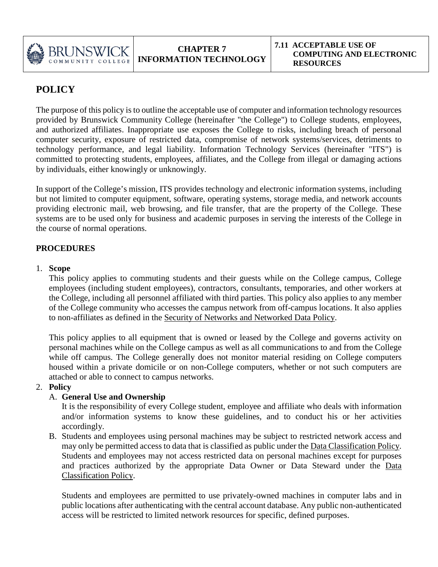

# **POLICY**

The purpose of this policy is to outline the acceptable use of computer and information technology resources provided by Brunswick Community College (hereinafter "the College") to College students, employees, and authorized affiliates. Inappropriate use exposes the College to risks, including breach of personal computer security, exposure of restricted data, compromise of network systems/services, detriments to technology performance, and legal liability. Information Technology Services (hereinafter "ITS") is committed to protecting students, employees, affiliates, and the College from illegal or damaging actions by individuals, either knowingly or unknowingly.

In support of the College's mission, ITS provides technology and electronic information systems, including but not limited to computer equipment, software, operating systems, storage media, and network accounts providing electronic mail, web browsing, and file transfer, that are the property of the College. These systems are to be used only for business and academic purposes in serving the interests of the College in the course of normal operations.

# **PROCEDURES**

#### 1. **Scope**

This policy applies to commuting students and their guests while on the College campus, College employees (including student employees), contractors, consultants, temporaries, and other workers at the College, including all personnel affiliated with third parties. This policy also applies to any member of the College community who accesses the campus network from off-campus locations. It also applies to non-affiliates as defined in the Security of Networks and Networked Data Policy.

This policy applies to all equipment that is owned or leased by the College and governs activity on personal machines while on the College campus as well as all communications to and from the College while off campus. The College generally does not monitor material residing on College computers housed within a private domicile or on non-College computers, whether or not such computers are attached or able to connect to campus networks.

# 2. **Policy**

# A. **General Use and Ownership**

It is the responsibility of every College student, employee and affiliate who deals with information and/or information systems to know these guidelines, and to conduct his or her activities accordingly.

B. Students and employees using personal machines may be subject to restricted network access and may only be permitted access to data that is classified as public under the Data Classification Policy. Students and employees may not access restricted data on personal machines except for purposes and practices authorized by the appropriate Data Owner or Data Steward under the Data Classification Policy.

Students and employees are permitted to use privately-owned machines in computer labs and in public locations after authenticating with the central account database. Any public non-authenticated access will be restricted to limited network resources for specific, defined purposes.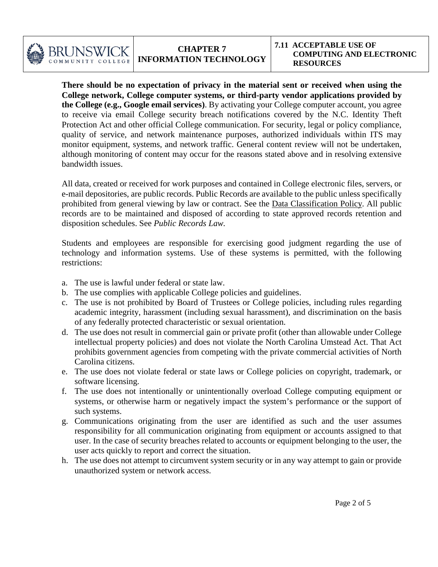

**There should be no expectation of privacy in the material sent or received when using the College network, College computer systems, or third-party vendor applications provided by the College (e.g., Google email services)**. By activating your College computer account, you agree to receive via email College security breach notifications covered by the N.C. Identity Theft Protection Act and other official College communication. For security, legal or policy compliance, quality of service, and network maintenance purposes, authorized individuals within ITS may monitor equipment, systems, and network traffic. General content review will not be undertaken, although monitoring of content may occur for the reasons stated above and in resolving extensive bandwidth issues.

All data, created or received for work purposes and contained in College electronic files, servers, or e-mail depositories, are public records. Public Records are available to the public unless specifically prohibited from general viewing by law or contract. See the Data Classification Policy. All public records are to be maintained and disposed of according to state approved records retention and disposition schedules. See *Public Records Law.*

Students and employees are responsible for exercising good judgment regarding the use of technology and information systems. Use of these systems is permitted, with the following restrictions:

- a. The use is lawful under federal or state law.
- b. The use complies with applicable College policies and guidelines.
- c. The use is not prohibited by Board of Trustees or College policies, including rules regarding academic integrity, harassment (including sexual harassment), and discrimination on the basis of any federally protected characteristic or sexual orientation.
- d. The use does not result in commercial gain or private profit (other than allowable under College intellectual property policies) and does not violate the North Carolina Umstead Act. That Act prohibits government agencies from competing with the private commercial activities of North Carolina citizens.
- e. The use does not violate federal or state laws or College policies on copyright, trademark, or software licensing.
- f. The use does not intentionally or unintentionally overload College computing equipment or systems, or otherwise harm or negatively impact the system's performance or the support of such systems.
- g. Communications originating from the user are identified as such and the user assumes responsibility for all communication originating from equipment or accounts assigned to that user. In the case of security breaches related to accounts or equipment belonging to the user, the user acts quickly to report and correct the situation.
- h. The use does not attempt to circumvent system security or in any way attempt to gain or provide unauthorized system or network access.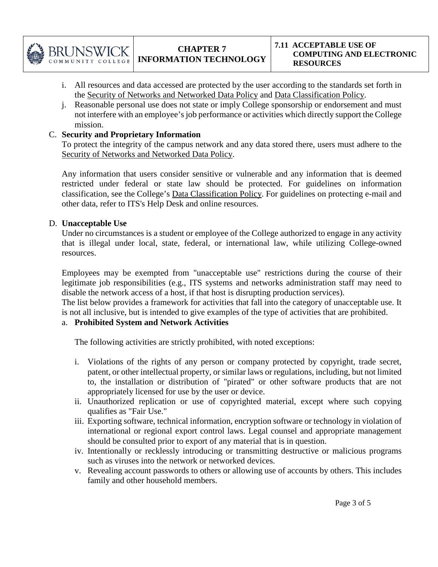

- i. All resources and data accessed are protected by the user according to the standards set forth in the Security of Networks and Networked Data Policy and Data Classification Policy.
- j. Reasonable personal use does not state or imply College sponsorship or endorsement and must not interfere with an employee's job performance or activities which directly support the College mission.

# C. **Security and Proprietary Information**

To protect the integrity of the campus network and any data stored there, users must adhere to the Security of Networks and Networked Data Policy.

Any information that users consider sensitive or vulnerable and any information that is deemed restricted under federal or state law should be protected. For guidelines on information classification, see the College's Data Classification Policy. For guidelines on protecting e-mail and other data, refer to ITS's Help Desk and online resources.

# D. **Unacceptable Use**

Under no circumstances is a student or employee of the College authorized to engage in any activity that is illegal under local, state, federal, or international law, while utilizing College-owned resources.

Employees may be exempted from "unacceptable use" restrictions during the course of their legitimate job responsibilities (e.g., ITS systems and networks administration staff may need to disable the network access of a host, if that host is disrupting production services).

The list below provides a framework for activities that fall into the category of unacceptable use. It is not all inclusive, but is intended to give examples of the type of activities that are prohibited.

# a. **Prohibited System and Network Activities**

The following activities are strictly prohibited, with noted exceptions:

- i. Violations of the rights of any person or company protected by copyright, trade secret, patent, or other intellectual property, or similar laws or regulations, including, but not limited to, the installation or distribution of "pirated" or other software products that are not appropriately licensed for use by the user or device.
- ii. Unauthorized replication or use of copyrighted material, except where such copying qualifies as "Fair Use."
- iii. Exporting software, technical information, encryption software or technology in violation of international or regional export control laws. Legal counsel and appropriate management should be consulted prior to export of any material that is in question.
- iv. Intentionally or recklessly introducing or transmitting destructive or malicious programs such as viruses into the network or networked devices.
- v. Revealing account passwords to others or allowing use of accounts by others. This includes family and other household members.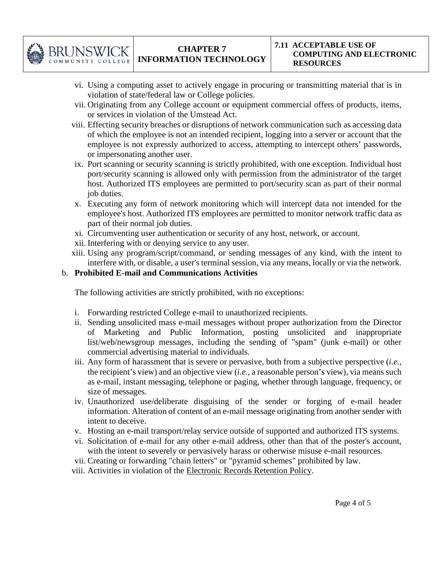

- vi. Using a computing asset to actively engage in procuring or transmitting material that is in violation of state/federal law or College policies.
- vii. Originating from any College account or equipment commercial offers of products, items, or services in violation of the Umstead Act.
- viii. Effecting security breaches or disruptions of network communication such as accessing data of which the employee is not an intended recipient, logging into a server or account that the employee is not expressly authorized to access, attempting to intercept others' passwords, or impersonating another user.
- ix. Port scanning or security scanning is strictly prohibited, with one exception. Individual host port/security scanning is allowed only with permission from the administrator of the target host. Authorized ITS employees are permitted to port/security scan as part of their normal job duties.
- x. Executing any form of network monitoring which will intercept data not intended for the employee's host. Authorized ITS employees are permitted to monitor network traffic data as part of their normal job duties.
- xi. Circumventing user authentication or security of any host, network, or account.
- xii. Interfering with or denying service to any user.
- xiii. Using any program/script/command, or sending messages of any kind, with the intent to interfere with, or disable, a user's terminal session, via any means, locally or via the network.

# b. **Prohibited E-mail and Communications Activities**

The following activities are strictly prohibited, with no exceptions:

- i. Forwarding restricted College e-mail to unauthorized recipients.
- ii. Sending unsolicited mass e-mail messages without proper authorization from the Director of Marketing and Public Information, posting unsolicited and inappropriate list/web/newsgroup messages, including the sending of "spam" (junk e-mail) or other commercial advertising material to individuals.
- iii. Any form of harassment that is severe or pervasive, both from a subjective perspective (*i.e.,* the recipient's view) and an objective view (*i.e.,* a reasonable person's view), via means such as e-mail, instant messaging, telephone or paging, whether through language, frequency, or size of messages.
- iv. Unauthorized use/deliberate disguising of the sender or forging of e-mail header information. Alteration of content of an e-mail message originating from another sender with intent to deceive.
- v. Hosting an e-mail transport/relay service outside of supported and authorized ITS systems.
- vi. Solicitation of e-mail for any other e-mail address, other than that of the poster's account, with the intent to severely or pervasively harass or otherwise misuse e-mail resources.
- vii. Creating or forwarding "chain letters" or "pyramid schemes" prohibited by law.
- viii. Activities in violation of the Electronic Records Retention Policy.